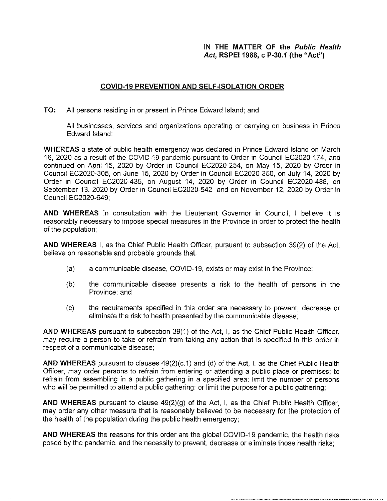# **IN THE MATTER OF the Public Health Act, RSPEI1988, c P-30.1 (the "Act")**

# **COVID-19 PREVENTION AND SELF-ISOLATION ORDER**

**TO:** All persons residing in or present in Prince Edward Island; and

All businesses, services and organizations operating or carrying on business in Prince Edward Island;

**WHEREAS** a state of public health emergency was declared in Prince Edward Island on March 16, 2020 as a result of the COVID-19 pandemic pursuant to Order in Council EC2020-174, and continued on April 15, 2020 by Order in Council EC2020-254, on May 15, 2020 by Order in Council EC2020-305, on June 15, 2020 by Order in Council EC2020-350, on July 14, 2020 by Order in Council EC2020-435, on August 14, 2020 by Order in Council EC2020-488, on September 13, 2020 by Order in Council EC2020-542 and on November 12, 2020 by Order in Council EC2020-649;

**AND WHEREAS** in consultation with the Lieutenant Governor in Council, I believe it is reasonably necessary to impose special measures in the Province in order to protect the health of the population;

**AND WHEREAS** I, as the Chief Public Health Officer, pursuant to subsection 39(2) of the Act, believe on reasonable and probable grounds that:

- (a) a communicable disease, COVID-19, exists or may exist in the Province;
- (b) the communicable disease presents a risk to the health of persons in the Province; and
- (c) the requirements specified in this order are necessary to prevent, decrease or eliminate the risk to health presented by the communicable disease;

**AND WHEREAS** pursuant to subsection 39(1) of the Act, I, as the Chief Public Health Officer, may require a person to take or refrain from taking any action that is specified in this order in respect of a communicable disease;

**AND WHEREAS** pursuant to clauses 49(2)(c.1) and (d) of the Act, I, as the Chief Public Health Officer, may order persons to refrain from entering or attending a public place or premises; to refrain from assembling in a public gathering in a specified area; limit the number of persons who will be permitted to attend a public gathering; or limit the purpose for a public gathering;

**AND WHEREAS** pursuant to clause 49(2)(g) of the Act, I, as the Chief Public Health Officer, may order any other measure that is reasonably believed to be necessary for the protection of the health of the population during the public health emergency;

**AND WHEREAS** the reasons for this order are the global COVID-19 pandemic, the health risks posed by the pandemic, and the necessity to prevent, decrease or eliminate those health risks;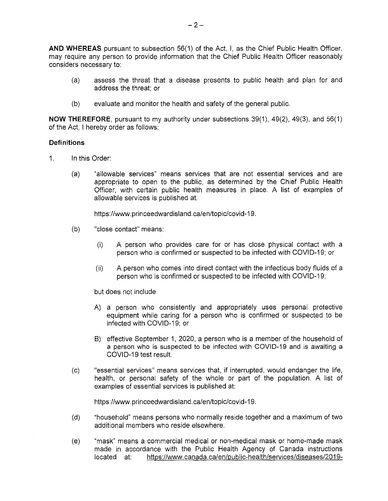**AND WHEREAS** pursuant to subsection 56(1) of the Act, I, as the Chief Public Health Officer, may require any person to provide information that the Chief Public Health Officer reasonably considers necessary to:

- (a) assess the threat that a disease presents to public health and plan for and address the threat; or
- (b) evaluate and monitor the health and safety of the general public.

**NOW THEREFORE,** pursuant to my authority under subsections 39(1), 49(2), 49(3), and 56(1) of the Act, I hereby order as follows:

#### **Definitions**

- 1. In this Order:
	- (a) "allowable services" means services that are not essential services and are appropriate to open to the public, as determined by the Chief Public Health Officer, with certain public health measures in place. A list of examples of allowable services is published at:

https://www.princeedwardisland. ca/en/topic/covid-19.

- (b) "close contact" means:
	- (i) A person who provides care for or has close physical contact with a person who is confirmed or suspected to be infected with COVID-19; or
	- (ii) A person who comes into direct contact with the infectious body fluids of a person who is confirmed or suspected to be infected with COVID-19;

but does not include

- A) a person who consistently and appropriately uses personal protective equipment while caring for a person who is confirmed or suspected to be infected with COVID-19; or
- B) effective September 1, 2020, a person who is a member of the household of a person who is suspected to be infected with COVID-19 and is awaiting a COVID-19 test result.
- (c) "essential services" means services that, if interrupted, would endanger the life, health, or personal safety of the whole or part of the population. A list of examples of essential services is published at:

https://www. princeedwardisland. ca/en/topic/covid-19.

- (d) "household" means persons who normally reside together and a maximum of two additional members who reside elsewhere.
- (e) "mask" means a commercial medical or non-medical mask or home-made mask made in accordance with the Public Health Agency of Canada instructions located at: https://www.canada.ca/en/public-health/services/diseases/2019-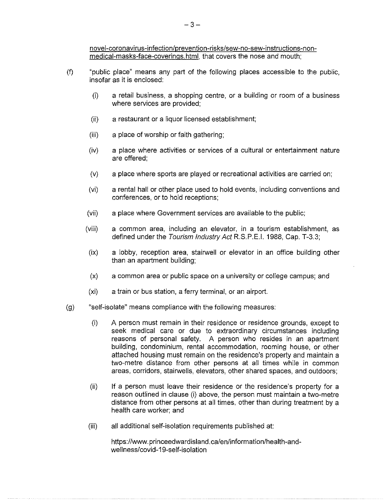novel-coronavirus-infection/prevention-risks/sew-no-sew-instructions-nonmedical-masks-face-coverinqs.html, that covers the nose and mouth;

- (f) "public place" means any part of the following places accessible to the public, insofar as it is enclosed:
	- (i) a retail business, a shopping centre, or a building or room of a business where services are provided;
	- (ii) a restaurant or a liquor licensed establishment;
	- (iii) a place of worship or faith gathering;
	- (iv) a place where activities or services of a cultural or entertainment nature are offered;
	- (v) a place where sports are played or recreational activities are carried on;
	- (vi) a rental hall or other place used to hold events, including conventions and conferences, or to hold receptions;
	- (vii) a place where Government services are available to the public;
	- (viii) a common area, including an elevator, in a tourism establishment, as defined under the Tourism Industry Act R.S.P.E.I. 1988, Cap. T-3.3;
	- (ix) a lobby, reception area, stairwell or elevator in an office building other than an apartment building;
	- (x) a common area or public space on a university or college campus; and
	- (xi) a train or bus station, a ferry terminal, or an airport.
- (g) "self-isolate" means compliance with the following measures:
	- (i) A person must remain in their residence or residence grounds, except to seek medical care or due to extraordinary circumstances including reasons of personal safety. A person who resides in an apartment building, condominium, rental accommodation, rooming house, or other attached housing must remain on the residence's property and maintain a two-metre distance from other persons at all times while in common areas, corridors, stairwells, elevators, other shared spaces, and outdoors;
	- (ii) If a person must leave their residence or the residence's property for a reason outlined in clause (i) above, the person must maintain a two-metre distance from other persons at all times, other than during treatment by a health care worker; and
	- (iii) all additional self-isolation requirements published at:

https://www.princeedwardisland.ca/en/information/health-andwellness/covid-19-self-isolation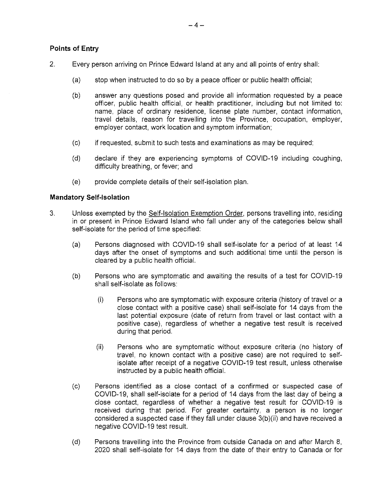# **Points of Entry**

- 2. Every person arriving on Prince Edward Island at any and all points of entry shall:
	- (a) stop when instructed to do so by a peace officer or public health official;
	- (b) answer any questions posed and provide all information requested by a peace officer, public health official, or health practitioner, including but not limited to: name, place of ordinary residence, license plate number, contact information, travel details, reason for travelling into the Province, occupation, employer, employer contact, work location and symptom information;
	- (c) if requested, submit to such tests and examinations as may be required;
	- (d) declare if they are experiencing symptoms of COVID-19 including coughing, difficulty breathing, or fever; and
	- (e) provide complete details of their self-isolation plan.

## **Mandatory Self-Isolation**

- 3. Unless exempted by the Self-Isolation Exemption Order, persons travelling into, residing in or present in Prince Edward Island who fall under any of the categories below shall self-isolate for the period of time specified:
	- (a) Persons diagnosed with COVID-19 shall self-isolate for a period of at least 14 days after the onset of symptoms and such additional time until the person is cleared by a public health official.
	- (b) Persons who are symptomatic and awaiting the results of a test for COVID-19 shall self-isolate as follows:
		- (i) Persons who are symptomatic with exposure criteria (history of travel or a close contact with a positive case) shall self-isolate for 14 days from the last potential exposure (date of return from travel or last contact with a positive case), regardless of whether a negative test result is received during that period.
		- (ii) Persons who are symptomatic without exposure criteria (no history of travel, no known contact with a positive case) are not required to selfisolate after receipt of a negative COVID-19 test result, unless otherwise instructed by a public health official.
	- (c) Persons identified as a close contact of a confirmed or suspected case of COVID-19, shall self-isolate for a period of 14 days from the last day of being a close contact, regardless of whether a negative test result for COVID-19 is received during that period. For greater certainty, a person is no longer considered a suspected case if they fall under clause 3(b)(ii) and have received a negative COVID-19 test result.
	- (d) Persons travelling into the Province from outside Canada on and after March 8, 2020 shall self-isolate for 14 days from the date of their entry to Canada or for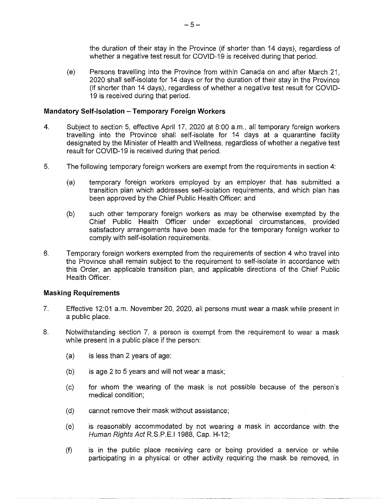the duration of their stay in the Province (if shorter than 14 days), regardless of whether a negative test result for COVID-19 is received during that period.

(e) Persons travelling into the Province from within Canada on and after March 21, 2020 shall self-isolate for 14 days or for the duration of their stay in the Province (if shorter than 14 days), regardless of whether a negative test result for COVID-19 is received during that period.

## **Mandatory Self-Isolation- Temporary Foreign Workers**

- 4. Subject to section 5, effective April 17, 2020 at 8:00 a.m., all temporary foreign workers travelling into the Province shall self-isolate for 14 days at a quarantine facility designated by the Minister of Health and Wellness, regardless of whether a negative test result for COVID-19 is received during that period.
- 5. The following temporary foreign workers are exempt from the requirements in section 4:
	- (a) temporary foreign workers employed by an employer that has submitted a transition plan which addresses self-isolation requirements, and which plan has been approved by the Chief Public Health Officer; and
	- (b) such other temporary foreign workers as may be otherwise exempted by the Chief Public Health Officer under exceptional circumstances, provided satisfactory arrangements have been made for the temporary foreign worker to comply with self-isolation requirements.
- 6. Temporary foreign workers exempted from the requirements of section 4 who travel into the Province shall remain subject to the requirement to self-isolate in accordance with this Order, an applicable transition plan, and applicable directions of the Chief Public Health Officer.

### **Masking Requirements**

- 7. Effective 12:01 a.m. November 20, 2020, all persons must wear a mask while present in a public place.
- 8. Notwithstanding section 7, a person is exempt from the requirement to wear a mask while present in a public place if the person:
	- (a) is less than 2 years of age:
	- (b) is age 2 to 5 years and will not wear a mask;
	- (c) for whom the wearing of the mask is not possible because of the person's medical condition;
	- (d) cannot remove their mask without assistance;
	- (e) is reasonably accommodated by not wearing a mask in accordance with the Human Rights Act R.S.P.E.I 1988, Cap. H-12;
	- (f) is in the public place receiving care or being provided a service or while participating in a physical or other activity requiring the mask be removed, in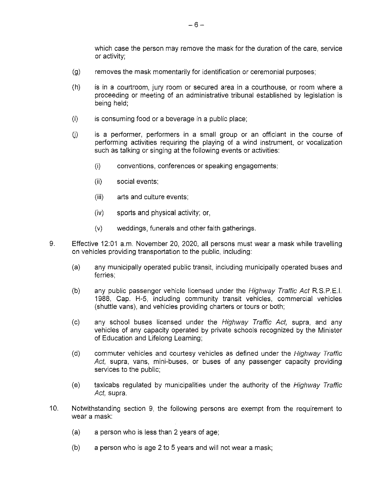which case the person may remove the mask for the duration of the care, service or activity;

- (g) removes the mask momentarily for identification or ceremonial purposes;
- (h) is in a courtroom, jury room or secured area in a courthouse, or room where a proceeding or meeting of an administrative tribunal established by legislation is being held;
- (i) is consuming food or a beverage in a public place;
- $(i)$  is a performer, performers in a small group or an officiant in the course of performing activities requiring the playing of a wind instrument, or vocalization such as talking or singing at the following events or activities:
	- (i) conventions, conferences or speaking engagements;
	- (ii) social events;
	- (iii) arts and culture events;
	- (iv) sports and physical activity; or,
	- (v) weddings, funerals and other faith gatherings.
- 9. Effective 12:01 a.m. November 20, 2020, all persons must wear a mask while travelling on vehicles providing transportation to the public, including:
	- (a) any municipally operated public transit, including municipally operated buses and ferries;
	- (b) any public passenger vehicle licensed under the *Highway Traffic Act* R.S.P.E.I. 1988, Cap. H-5, including community transit vehicles, commercial vehicles (shuttle vans), and vehicles providing charters or tours or both;
	- (c) any school buses licensed under the Highway Traffic Act, supra, and any vehicles of any capacity operated by private schools recognized by the Minister of Education and Lifelong Learning;
	- (d) commuter vehicles and courtesy vehicles as defined under the Highway Traffic Act, supra, vans, mini-buses, or buses of any passenger capacity providing services to the public;
	- (e) taxicabs regulated by municipalities under the authority of the Highway Traffic Act, supra.
- 10. Notwithstanding section 9, the following persons are exempt from the requirement to wear a mask:
	- (a) a person who is less than 2 years of age;
	- (b) a person who is age 2 to 5 years and will not wear a mask;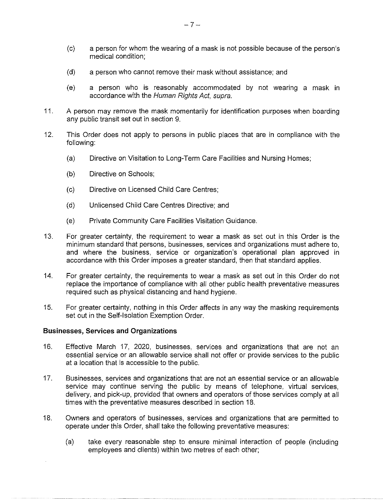- (c) a person for whom the wearing of a mask is not possible because of the person's medical condition;
- (d) a person who cannot remove their mask without assistance; and
- (e) a person who is reasonably accommodated by not wearing a mask **in**  accordance with the Human Rights Act, supra.
- 11. A person may remove the mask momentarily for identification purposes when boarding any public transit set out in section 9.
- 12. This Order does not apply to persons **in** public places that are in compliance with the following:
	- (a) Directive on Visitation to Long-Term Care Facilities and Nursing Homes;
	- (b) Directive on Schools;
	- (c) Directive on Licensed Child Care Centres;
	- (d) Unlicensed Child Care Centres Directive; and
	- (e) Private Community Care Facilities Visitation Guidance.
- 13. For greater certainty, the requirement to wear a mask as set out in this Order is the minimum standard that persons, businesses, services and organizations must adhere to, and where the business, service or organization's operational plan approved **in**  accordance with this Order imposes a greater standard, then that standard applies.
- 14. For greater certainty, the requirements to wear a mask as set out in this Order do not replace the importance of compliance with all other public health preventative measures required such as physical distancing and hand hygiene.
- 15. For greater certainty, nothing **in** this Order affects in any way the masking requirements set out in the Self-Isolation Exemption Order.

#### **Businesses, Services and Organizations**

- 16. Effective March 17, 2020, businesses, services and organizations that are not an essential service or an allowable service shall not offer or provide services to the public at a location that is accessible to the public.
- 17. Businesses, services and organizations that are not an essential service or an allowable service may continue serving the public by means of telephone, virtual services, delivery, and pick-up, provided that owners and operators of those services comply at all times with the preventative measures described in section 18.
- 18. Owners and operators of businesses, services and organizations that are permitted to operate under this Order, shall take the following preventative measures:
	- (a) take every reasonable step to ensure minimal interaction of people (including employees and clients) within two metres of each other;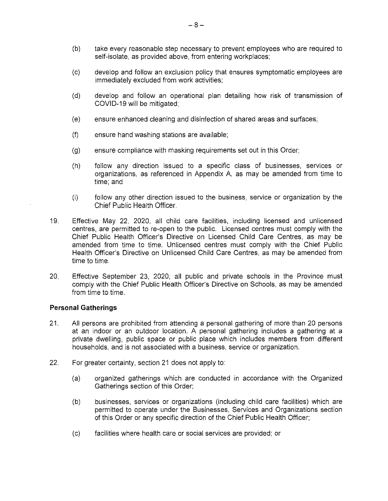- (b) take every reasonable step necessary to prevent employees who are required to self-isolate, as provided above, from entering workplaces;
- (c) develop and follow an exclusion policy that ensures symptomatic employees are immediately excluded from work activities;
- (d) develop and follow an operational plan detailing how risk of transmission of COVID-19 will be mitigated;
- (e) ensure enhanced cleaning and disinfection of shared areas and surfaces;
- (f) ensure hand washing stations are available;
- (g) ensure compliance with masking requirements set out in this Order;
- (h) follow any direction issued to a specific class of businesses, services or organizations, as referenced in Appendix A, as may be amended from time to time; and
- (i) follow any other direction issued to the business, service or organization by the Chief Public Health Officer.
- 19. Effective May 22, 2020, all child care facilities, including licensed and unlicensed centres, are permitted to re-open to the public. Licensed centres must comply with the Chief Public Health Officer's Directive on Licensed Child Care Centres, as may be amended from time to time. Unlicensed centres must comply with the Chief Public Health Officer's Directive on Unlicensed Child Care Centres, as may be amended from time to time.
- 20. Effective September 23, 2020, all public and private schools in the Province must comply with the Chief Public Health Officer's Directive on Schools, as may be amended from time to time.

### **Personal Gatherings**

- 21. All persons are prohibited from attending a personal gathering of more than 20 persons at an indoor or an outdoor location. A personal gathering includes a gathering at a private dwelling, public space or public place which includes members from different households, and is not associated with a business, service or organization.
- 22. For greater certainty, section 21 does not apply to:
	- (a) organized gatherings which are conducted in accordance with the Organized Gatherings section of this Order;
	- (b) businesses, services or organizations (including child care facilities) which are permitted to operate under the Businesses, Services and Organizations section of this Order or any specific direction of the Chief Public Health Officer;
	- (c) facilities where health care or social services are provided; or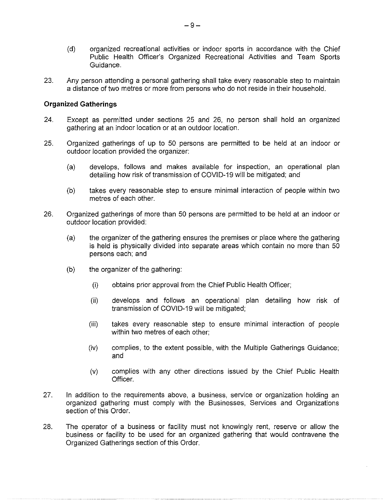- (d) organized recreational activities or indoor sports in accordance with the Chief Public Health Officer's Organized Recreational Activities and Team Sports Guidance.
- 23. Any person attending a personal gathering shall take every reasonable step to maintain a distance of two metres or more from persons who do not reside in their household.

### **Organized Gatherings**

- 24. Except as permitted under sections 25 and 26, no person shall hold an organized gathering at an indoor location or at an outdoor location.
- 25. Organized gatherings of up to 50 persons are permitted to be held at an indoor or outdoor location provided the organizer:
	- (a) develops, follows and makes available for inspection, an operational plan detailing how risk of transmission of COVID-19 will be mitigated; and
	- (b) takes every reasonable step to ensure minimal interaction of people within two metres of each other.
- 26. Organized gatherings of more than 50 persons are permitted to be held at an indoor or outdoor location provided:
	- (a) the organizer of the gathering ensures the premises or place where the gathering is held is physically divided into separate areas which contain no more than 50 persons each; and
	- (b) the organizer of the gathering:
		- (i) obtains prior approval from the Chief Public Health Officer;
		- (ii) develops and follows an operational plan detailing how risk of transmission of COVID-19 will be mitigated;
		- (iii) takes every reasonable step to ensure minimal interaction of people within two metres of each other;
		- (iv) complies, to the extent possible, with the Multiple Gatherings Guidance; and
		- (v) complies with any other directions issued by the Chief Public Health Officer.
- 27. In addition to the requirements above, a business, service or organization holding an organized gathering must comply with the Businesses, Services and Organizations section of this Order.
- 28. The operator of a business or facility must not knowingly rent, reserve or allow the business or facility to be used for an organized gathering that would contravene the Organized Gatherings section of this Order.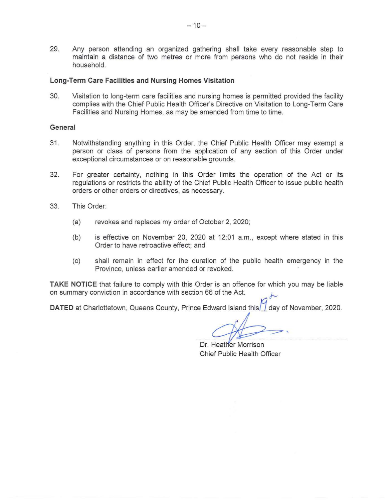29. Any person attending an organized gathering shall take every reasonable step to maintain a distance of two metres or more from persons who do not reside in their household.

### **Long-Term Care Facilities and Nursing Homes Visitation**

30. Visitation to long-term care facilities and nursing homes is permitted provided the facility complies with the Chief Public Health Officer's Directive on Visitation to Long-Term Care Facilities and Nursing Homes, as may be amended from time to time.

#### **General**

- 31. Notwithstanding anything in this Order, the Chief Public Health Officer may exempt a person or class of persons from the application of any section of this Order under exceptional circumstances or on reasonable grounds.
- 32. For greater certainty, nothing in this Order limits the operation of the Act or its regulations or restricts the ability of the Chief Public Health Officer to issue public health orders or other orders or directives, as necessary.
- 33. This Order:
	- (a) revokes and replaces my order of October 2, 2020;
	- (b) is effective on November 20, 2020 at 12:01 a.m., except where stated in this Order to have retroactive effect; and
	- (c) shall remain in effect for the duration of the public health emergency in the Province, unless earlier amended or revoked.

**TAKE NOTICE** that failure to comply with this Order is an offence for which you may be liable on summary conviction in accordance with section 66 of the Act. fr

DATED at Charlottetown, Queens County, Prince Edward Island this 1 day of November, 2020.

Dr. Heather Morrison Chief Public Health Officer